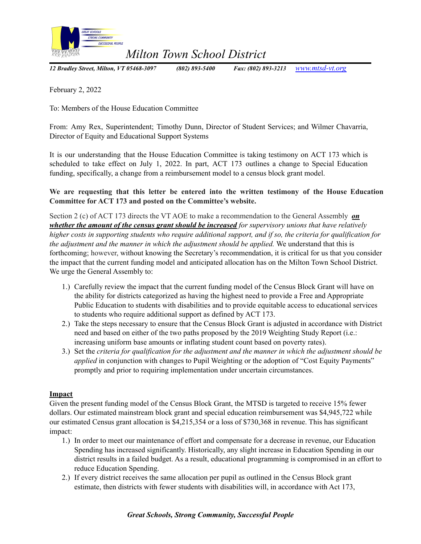

*Milton Town School District*

*12 Bradley Street, Milton, VT 05468-3097 (802) 893-5400 Fax: (802) 893-3213 [www.mtsd-vt.org](http://www.mtsd-vt.org/)*

February 2, 2022

To: Members of the House Education Committee

From: Amy Rex, Superintendent; Timothy Dunn, Director of Student Services; and Wilmer Chavarria, Director of Equity and Educational Support Systems

It is our understanding that the House Education Committee is taking testimony on ACT 173 which is scheduled to take effect on July 1, 2022. In part, ACT 173 outlines a change to Special Education funding, specifically, a change from a reimbursement model to a census block grant model.

**We are requesting that this letter be entered into the written testimony of the House Education Committee for ACT 173 and posted on the Committee's website.**

Section 2 (c) of ACT 173 directs the VT AOE to make a recommendation to the General Assembly *on whether the amount of the census grant should be increased for supervisory unions that have relatively* higher costs in supporting students who require additional support, and if so, the criteria for qualification for *the adjustment and the manner in which the adjustment should be applied.* We understand that this is forthcoming; however, without knowing the Secretary's recommendation, it is critical for us that you consider the impact that the current funding model and anticipated allocation has on the Milton Town School District. We urge the General Assembly to:

- 1.) Carefully review the impact that the current funding model of the Census Block Grant will have on the ability for districts categorized as having the highest need to provide a Free and Appropriate Public Education to students with disabilities and to provide equitable access to educational services to students who require additional support as defined by ACT 173.
- 2.) Take the steps necessary to ensure that the Census Block Grant is adjusted in accordance with District need and based on either of the two paths proposed by the 2019 Weighting Study Report (i.e.: increasing uniform base amounts or inflating student count based on poverty rates).
- 3.) Set the *criteria for qualification for the adjustment and the manner in which the adjustment should be applied* in conjunction with changes to Pupil Weighting or the adoption of "Cost Equity Payments" promptly and prior to requiring implementation under uncertain circumstances.

## **Impact**

Given the present funding model of the Census Block Grant, the MTSD is targeted to receive 15% fewer dollars. Our estimated mainstream block grant and special education reimbursement was \$4,945,722 while our estimated Census grant allocation is \$4,215,354 or a loss of \$730,368 in revenue. This has significant impact:

- 1.) In order to meet our maintenance of effort and compensate for a decrease in revenue, our Education Spending has increased significantly. Historically, any slight increase in Education Spending in our district results in a failed budget. As a result, educational programming is compromised in an effort to reduce Education Spending.
- 2.) If every district receives the same allocation per pupil as outlined in the Census Block grant estimate, then districts with fewer students with disabilities will, in accordance with Act 173,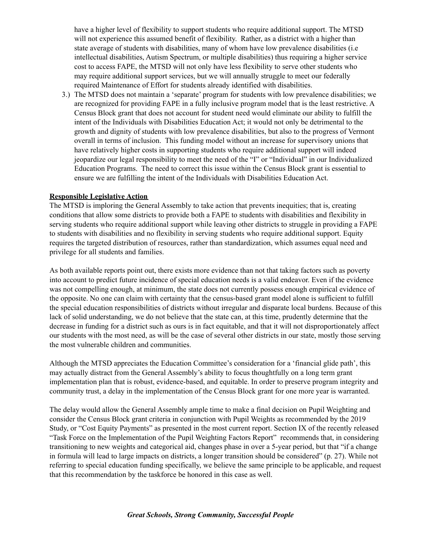have a higher level of flexibility to support students who require additional support. The MTSD will not experience this assumed benefit of flexibility. Rather, as a district with a higher than state average of students with disabilities, many of whom have low prevalence disabilities (i.e intellectual disabilities, Autism Spectrum, or multiple disabilities) thus requiring a higher service cost to access FAPE, the MTSD will not only have less flexibility to serve other students who may require additional support services, but we will annually struggle to meet our federally required Maintenance of Effort for students already identified with disabilities.

3.) The MTSD does not maintain a 'separate' program for students with low prevalence disabilities; we are recognized for providing FAPE in a fully inclusive program model that is the least restrictive. A Census Block grant that does not account for student need would eliminate our ability to fulfill the intent of the Individuals with Disabilities Education Act; it would not only be detrimental to the growth and dignity of students with low prevalence disabilities, but also to the progress of Vermont overall in terms of inclusion. This funding model without an increase for supervisory unions that have relatively higher costs in supporting students who require additional support will indeed jeopardize our legal responsibility to meet the need of the "I" or "Individual" in our Individualized Education Programs. The need to correct this issue within the Census Block grant is essential to ensure we are fulfilling the intent of the Individuals with Disabilities Education Act.

## **Responsible Legislative Action**

The MTSD is imploring the General Assembly to take action that prevents inequities; that is, creating conditions that allow some districts to provide both a FAPE to students with disabilities and flexibility in serving students who require additional support while leaving other districts to struggle in providing a FAPE to students with disabilities and no flexibility in serving students who require additional support. Equity requires the targeted distribution of resources, rather than standardization, which assumes equal need and privilege for all students and families.

As both available reports point out, there exists more evidence than not that taking factors such as poverty into account to predict future incidence of special education needs is a valid endeavor. Even if the evidence was not compelling enough, at minimum, the state does not currently possess enough empirical evidence of the opposite. No one can claim with certainty that the census-based grant model alone is sufficient to fulfill the special education responsibilities of districts without irregular and disparate local burdens. Because of this lack of solid understanding, we do not believe that the state can, at this time, prudently determine that the decrease in funding for a district such as ours is in fact equitable, and that it will not disproportionately affect our students with the most need, as will be the case of several other districts in our state, mostly those serving the most vulnerable children and communities.

Although the MTSD appreciates the Education Committee's consideration for a 'financial glide path', this may actually distract from the General Assembly's ability to focus thoughtfully on a long term grant implementation plan that is robust, evidence-based, and equitable. In order to preserve program integrity and community trust, a delay in the implementation of the Census Block grant for one more year is warranted.

The delay would allow the General Assembly ample time to make a final decision on Pupil Weighting and consider the Census Block grant criteria in conjunction with Pupil Weights as recommended by the 2019 Study, or "Cost Equity Payments" as presented in the most current report. Section IX of the recently released "Task Force on the Implementation of the Pupil Weighting Factors Report" recommends that, in considering transitioning to new weights and categorical aid, changes phase in over a 5-year period, but that "if a change in formula will lead to large impacts on districts, a longer transition should be considered" (p. 27). While not referring to special education funding specifically, we believe the same principle to be applicable, and request that this recommendation by the taskforce be honored in this case as well.